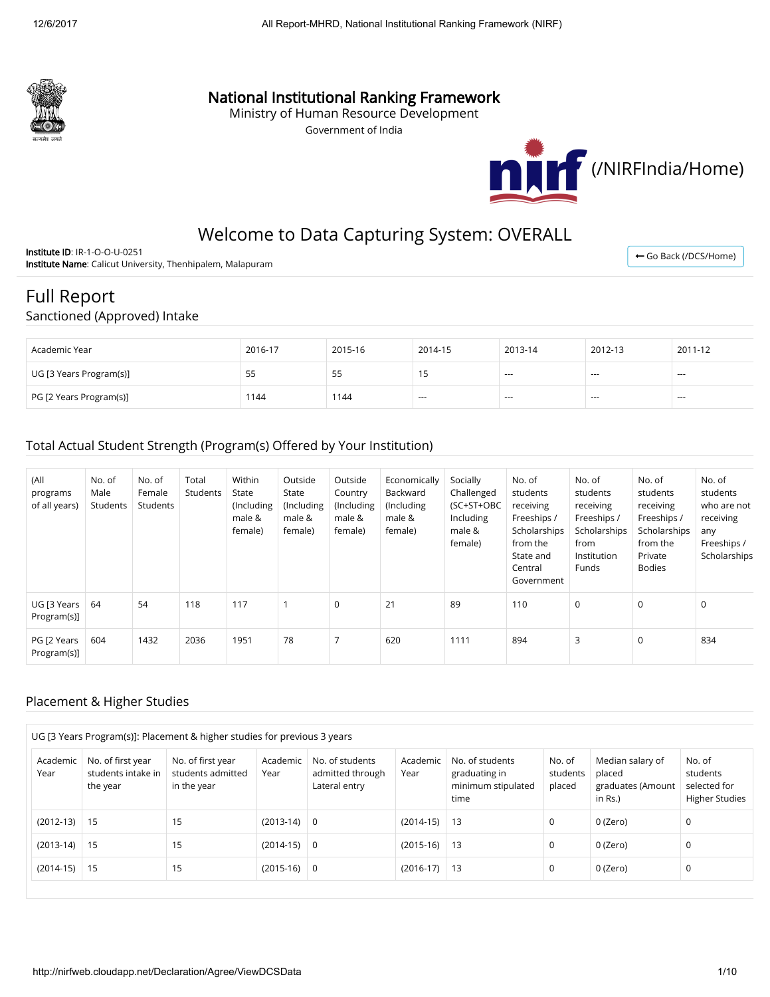

# National Institutional Ranking Framework

Ministry of Human Resource Development

Government of India



← [Go Back \(/DCS/Home\)](http://nirfweb.cloudapp.net/DCS/Home)

# Welcome to Data Capturing System: OVERALL

Institute ID: IR-1-O-O-U-0251 Institute Name: Calicut University, Thenhipalem, Malapuram

# Full Report

#### Sanctioned (Approved) Intake

| Academic Year           | 2016-17 | 2015-16 | 2014-15 | 2013-14 | 2012-13 | 2011-12 |
|-------------------------|---------|---------|---------|---------|---------|---------|
| UG [3 Years Program(s)] | ככ      | ככ      |         | $- - -$ | $- - -$ | $- - -$ |
| PG [2 Years Program(s)] | 144     | 1144    | $- - -$ | $- - -$ | $- - -$ | $--$    |

#### Total Actual Student Strength (Program(s) Offered by Your Institution)

| (All<br>programs<br>of all years) | No. of<br>Male<br>Students | No. of<br>Female<br>Students | Total<br>Students | Within<br>State<br>(Including<br>male &<br>female) | Outside<br>State<br>(Including<br>male &<br>female) | Outside<br>Country<br>(Including<br>male &<br>female) | Economically<br>Backward<br>(Including<br>male &<br>female) | Socially<br>Challenged<br>(SC+ST+OBC<br>Including<br>male &<br>female) | No. of<br>students<br>receiving<br>Freeships /<br>Scholarships<br>from the<br>State and<br>Central<br>Government | No. of<br>students<br>receiving<br>Freeships /<br>Scholarships<br>from<br>Institution<br>Funds | No. of<br>students<br>receiving<br>Freeships /<br>Scholarships<br>from the<br>Private<br><b>Bodies</b> | No. of<br>students<br>who are not<br>receiving<br>any<br>Freeships /<br>Scholarships |
|-----------------------------------|----------------------------|------------------------------|-------------------|----------------------------------------------------|-----------------------------------------------------|-------------------------------------------------------|-------------------------------------------------------------|------------------------------------------------------------------------|------------------------------------------------------------------------------------------------------------------|------------------------------------------------------------------------------------------------|--------------------------------------------------------------------------------------------------------|--------------------------------------------------------------------------------------|
| UG [3 Years  <br>Program(s)]      | 64                         | 54                           | 118               | 117                                                |                                                     | $\mathbf 0$                                           | 21                                                          | 89                                                                     | 110                                                                                                              | 0                                                                                              | $\Omega$                                                                                               | $\mathbf 0$                                                                          |
| PG [2 Years<br>Program(s)]        | 604                        | 1432                         | 2036              | 1951                                               | 78                                                  |                                                       | 620                                                         | 1111                                                                   | 894                                                                                                              | 3                                                                                              | $\Omega$                                                                                               | 834                                                                                  |

#### Placement & Higher Studies

| UG [3 Years Program(s)]: Placement & higher studies for previous 3 years |                                                     |                                                       |                  |                                                      |                  |                                                                |                              |                                                            |                                                             |
|--------------------------------------------------------------------------|-----------------------------------------------------|-------------------------------------------------------|------------------|------------------------------------------------------|------------------|----------------------------------------------------------------|------------------------------|------------------------------------------------------------|-------------------------------------------------------------|
| Academic<br>Year                                                         | No. of first year<br>students intake in<br>the year | No. of first year<br>students admitted<br>in the year | Academic<br>Year | No. of students<br>admitted through<br>Lateral entry | Academic<br>Year | No. of students<br>graduating in<br>minimum stipulated<br>time | No. of<br>students<br>placed | Median salary of<br>placed<br>graduates (Amount<br>in Rs.) | No. of<br>students<br>selected for<br><b>Higher Studies</b> |
| $(2012-13)$   15                                                         |                                                     | 15                                                    | $(2013-14)$      | $\overline{0}$                                       | $(2014-15)$      | 13                                                             | 0                            | 0 (Zero)                                                   | 0                                                           |
| $(2013-14)$ 15                                                           |                                                     | 15                                                    | $(2014-15)$      | $\overline{0}$                                       | $(2015-16)$      | 13                                                             | 0                            | 0 (Zero)                                                   | 0                                                           |
| $(2014-15)$                                                              | 15                                                  | 15                                                    | $(2015-16)$      | $\overline{0}$                                       | $(2016-17)$      | 13                                                             | 0                            | 0 (Zero)                                                   | 0                                                           |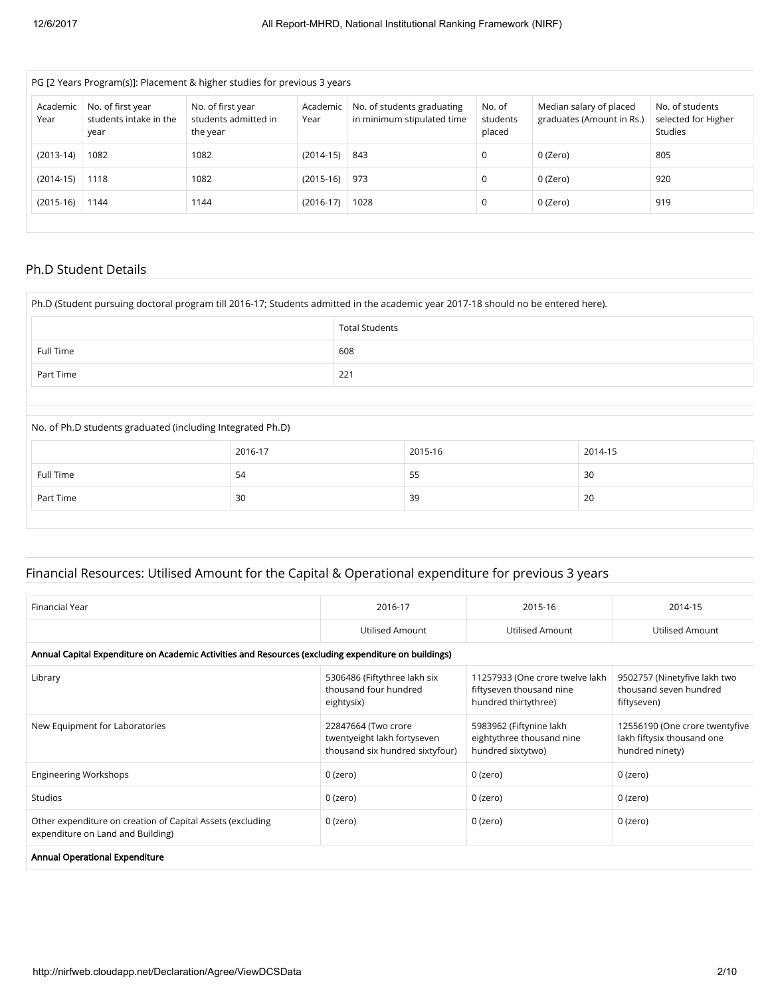| PG [2 Years Program(s)]: Placement & higher studies for previous 3 years |                                                     |                                                       |                  |                                                          |                              |                                                      |                                                   |  |
|--------------------------------------------------------------------------|-----------------------------------------------------|-------------------------------------------------------|------------------|----------------------------------------------------------|------------------------------|------------------------------------------------------|---------------------------------------------------|--|
| Academic<br>Year                                                         | No. of first year<br>students intake in the<br>year | No. of first year<br>students admitted in<br>the year | Academic<br>Year | No. of students graduating<br>in minimum stipulated time | No. of<br>students<br>placed | Median salary of placed<br>graduates (Amount in Rs.) | No. of students<br>selected for Higher<br>Studies |  |
| $(2013-14)$                                                              | 1082                                                | 1082                                                  | $(2014-15)$      | 843                                                      | $\Omega$                     | 0 (Zero)                                             | 805                                               |  |
| $(2014-15)$                                                              | 1118                                                | 1082                                                  | $(2015-16)$      | 973                                                      | 0                            | 0 (Zero)                                             | 920                                               |  |
| $(2015-16)$                                                              | 1144                                                | 1144                                                  | $(2016-17)$      | 1028                                                     | 0                            | 0 (Zero)                                             | 919                                               |  |
|                                                                          |                                                     |                                                       |                  |                                                          |                              |                                                      |                                                   |  |

#### Ph.D Student Details

| Ph.D (Student pursuing doctoral program till 2016-17; Students admitted in the academic year 2017-18 should no be entered here). |                       |     |         |         |  |  |  |
|----------------------------------------------------------------------------------------------------------------------------------|-----------------------|-----|---------|---------|--|--|--|
|                                                                                                                                  | <b>Total Students</b> |     |         |         |  |  |  |
| Full Time                                                                                                                        |                       | 608 |         |         |  |  |  |
| Part Time                                                                                                                        | 221                   |     |         |         |  |  |  |
|                                                                                                                                  |                       |     |         |         |  |  |  |
| No. of Ph.D students graduated (including Integrated Ph.D)                                                                       |                       |     |         |         |  |  |  |
|                                                                                                                                  | 2016-17               |     | 2015-16 | 2014-15 |  |  |  |
| Full Time                                                                                                                        | 54                    |     | 55      | 30      |  |  |  |
| Part Time                                                                                                                        | 30                    |     | 39      | 20      |  |  |  |

## Financial Resources: Utilised Amount for the Capital & Operational expenditure for previous 3 years

| Financial Year                                                                                       | 2016-17                                                                               | 2015-16                                                                             | 2014-15                                                                         |  |  |  |  |  |  |
|------------------------------------------------------------------------------------------------------|---------------------------------------------------------------------------------------|-------------------------------------------------------------------------------------|---------------------------------------------------------------------------------|--|--|--|--|--|--|
|                                                                                                      | Utilised Amount                                                                       | <b>Utilised Amount</b>                                                              | <b>Utilised Amount</b>                                                          |  |  |  |  |  |  |
| Annual Capital Expenditure on Academic Activities and Resources (excluding expenditure on buildings) |                                                                                       |                                                                                     |                                                                                 |  |  |  |  |  |  |
| Library                                                                                              | 5306486 (Fiftythree lakh six<br>thousand four hundred<br>eightysix)                   | 11257933 (One crore twelve lakh<br>fiftyseven thousand nine<br>hundred thirtythree) | 9502757 (Ninetyfive lakh two<br>thousand seven hundred<br>fiftyseven)           |  |  |  |  |  |  |
| New Equipment for Laboratories                                                                       | 22847664 (Two crore<br>twentyeight lakh fortyseven<br>thousand six hundred sixtyfour) | 5983962 (Fiftynine lakh<br>eightythree thousand nine<br>hundred sixtytwo)           | 12556190 (One crore twentyfive<br>lakh fiftysix thousand one<br>hundred ninety) |  |  |  |  |  |  |
| <b>Engineering Workshops</b>                                                                         | $0$ (zero)                                                                            | 0 (zero)                                                                            | $0$ (zero)                                                                      |  |  |  |  |  |  |
| Studios                                                                                              | 0 (zero)                                                                              | 0 (zero)                                                                            | 0 (zero)                                                                        |  |  |  |  |  |  |
| Other expenditure on creation of Capital Assets (excluding<br>expenditure on Land and Building)      | 0 (zero)                                                                              | 0 (zero)                                                                            | 0 (zero)                                                                        |  |  |  |  |  |  |
| Annual Operational Expenditure                                                                       |                                                                                       |                                                                                     |                                                                                 |  |  |  |  |  |  |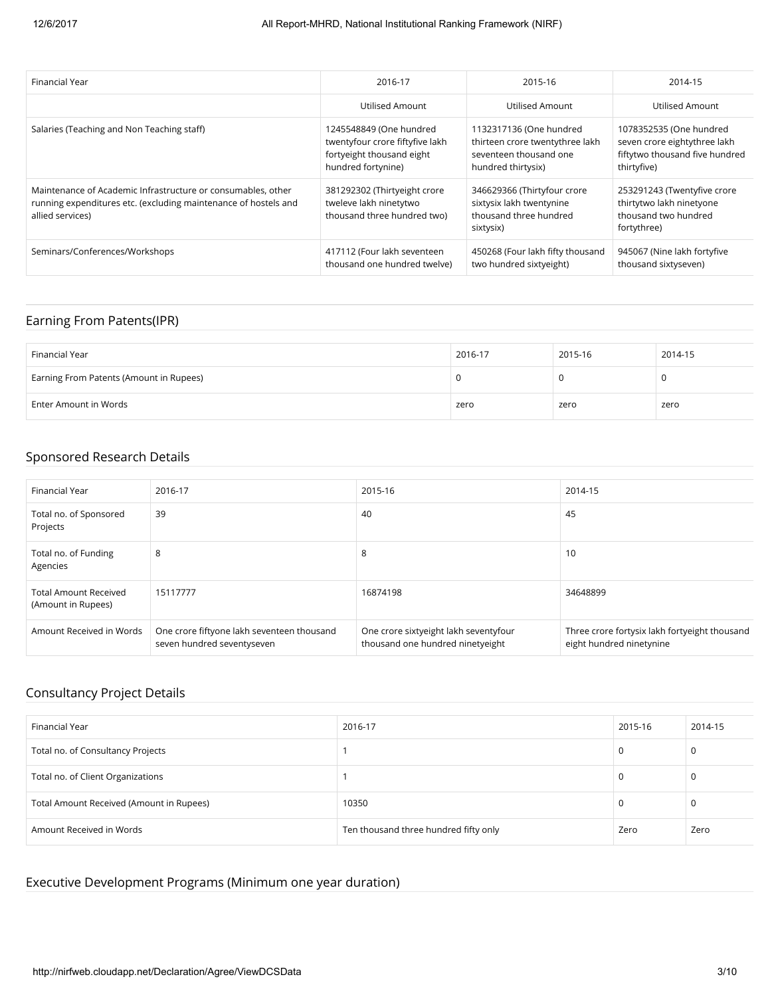| Financial Year                                                                                                                                      | 2016-17                                                                                                       | 2015-16                                                                                                    | 2014-15                                                                                                  |
|-----------------------------------------------------------------------------------------------------------------------------------------------------|---------------------------------------------------------------------------------------------------------------|------------------------------------------------------------------------------------------------------------|----------------------------------------------------------------------------------------------------------|
|                                                                                                                                                     | Utilised Amount                                                                                               | Utilised Amount                                                                                            | Utilised Amount                                                                                          |
| Salaries (Teaching and Non Teaching staff)                                                                                                          | 1245548849 (One hundred<br>twentyfour crore fiftyfive lakh<br>fortyeight thousand eight<br>hundred fortynine) | 1132317136 (One hundred<br>thirteen crore twentythree lakh<br>seventeen thousand one<br>hundred thirtysix) | 1078352535 (One hundred<br>seven crore eightythree lakh<br>fiftytwo thousand five hundred<br>thirtyfive) |
| Maintenance of Academic Infrastructure or consumables, other<br>running expenditures etc. (excluding maintenance of hostels and<br>allied services) | 381292302 (Thirtyeight crore<br>tweleve lakh ninetytwo<br>thousand three hundred two)                         | 346629366 (Thirtyfour crore<br>sixtysix lakh twentynine<br>thousand three hundred<br>sixtysix)             | 253291243 (Twentyfive crore<br>thirtytwo lakh ninetyone<br>thousand two hundred<br>fortythree)           |
| Seminars/Conferences/Workshops                                                                                                                      | 417112 (Four lakh seventeen<br>thousand one hundred twelve)                                                   | 450268 (Four lakh fifty thousand<br>two hundred sixtyeight)                                                | 945067 (Nine lakh fortyfive<br>thousand sixtyseven)                                                      |

#### Earning From Patents(IPR)

| Financial Year                          | 2016-17 | 2015-16 | 2014-15 |
|-----------------------------------------|---------|---------|---------|
| Earning From Patents (Amount in Rupees) | u       |         |         |
| Enter Amount in Words                   | zero    | zero    | zero    |

### Sponsored Research Details

| Financial Year                                     | 2016-17                                                                  | 2015-16                                                                   | 2014-15                                                                   |
|----------------------------------------------------|--------------------------------------------------------------------------|---------------------------------------------------------------------------|---------------------------------------------------------------------------|
| Total no. of Sponsored<br>Projects                 | 39                                                                       | 40                                                                        | 45                                                                        |
| Total no. of Funding<br>Agencies                   | 8                                                                        | 8                                                                         | 10                                                                        |
| <b>Total Amount Received</b><br>(Amount in Rupees) | 15117777                                                                 | 16874198                                                                  | 34648899                                                                  |
| Amount Received in Words                           | One crore fiftyone lakh seventeen thousand<br>seven hundred seventyseven | One crore sixtyeight lakh seventyfour<br>thousand one hundred ninetyeight | Three crore fortysix lakh fortyeight thousand<br>eight hundred ninetynine |

## Consultancy Project Details

| Financial Year                           | 2016-17                               | 2015-16 | 2014-15 |
|------------------------------------------|---------------------------------------|---------|---------|
| Total no. of Consultancy Projects        |                                       |         | u       |
| Total no. of Client Organizations        |                                       |         | - U     |
| Total Amount Received (Amount in Rupees) | 10350                                 |         | u       |
| Amount Received in Words                 | Ten thousand three hundred fifty only | Zero    | Zero    |

## Executive Development Programs (Minimum one year duration)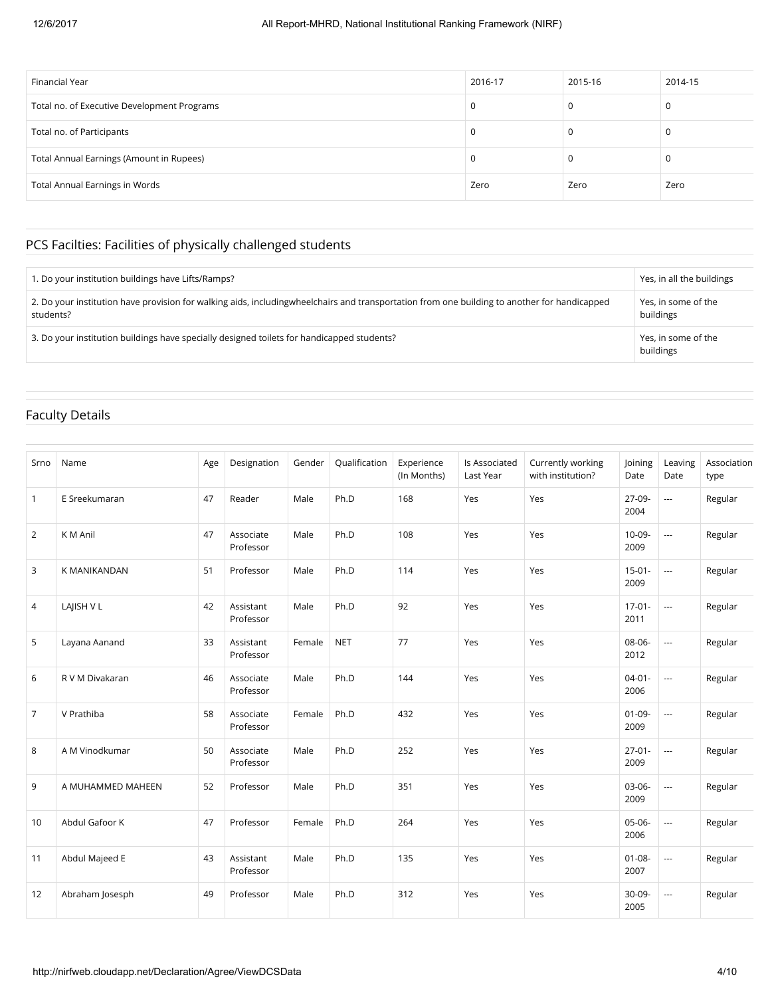| Financial Year                              | 2016-17 | 2015-16 | 2014-15 |
|---------------------------------------------|---------|---------|---------|
| Total no. of Executive Development Programs | 0       |         |         |
| Total no. of Participants                   | 0       |         |         |
| Total Annual Earnings (Amount in Rupees)    | 0       |         |         |
| <b>Total Annual Earnings in Words</b>       | Zero    | Zero    | Zero    |

## PCS Facilties: Facilities of physically challenged students

| . Do your institution buildings have Lifts/Ramps?                                                                                                         | Yes, in all the buildings        |
|-----------------------------------------------------------------------------------------------------------------------------------------------------------|----------------------------------|
| 2. Do your institution have provision for walking aids, includingwheelchairs and transportation from one building to another for handicapped<br>students? | Yes, in some of the<br>buildings |
| 3. Do your institution buildings have specially designed toilets for handicapped students?                                                                | Yes, in some of the<br>buildings |

## Faculty Details

| Srno           | Name              | Age | Designation            | Gender | Qualification | Experience<br>(In Months) | Is Associated<br>Last Year | Currently working<br>with institution? | Joining<br>Date     | Leaving<br>Date          | Association<br>type |
|----------------|-------------------|-----|------------------------|--------|---------------|---------------------------|----------------------------|----------------------------------------|---------------------|--------------------------|---------------------|
| $\mathbf{1}$   | E Sreekumaran     | 47  | Reader                 | Male   | Ph.D          | 168                       | Yes                        | Yes                                    | 27-09-<br>2004      | $\overline{\phantom{a}}$ | Regular             |
| 2              | K M Anil          | 47  | Associate<br>Professor | Male   | Ph.D          | 108                       | Yes                        | Yes                                    | 10-09-<br>2009      | $\sim$                   | Regular             |
| 3              | K MANIKANDAN      | 51  | Professor              | Male   | Ph.D          | 114                       | Yes                        | Yes                                    | $15-01-$<br>2009    | $\overline{\phantom{a}}$ | Regular             |
| 4              | LAJISH V L        | 42  | Assistant<br>Professor | Male   | Ph.D          | 92                        | Yes                        | Yes                                    | $17-01-$<br>2011    | $\scriptstyle\cdots$     | Regular             |
| 5              | Layana Aanand     | 33  | Assistant<br>Professor | Female | <b>NET</b>    | 77                        | Yes                        | Yes                                    | 08-06-<br>2012      | $\overline{a}$           | Regular             |
| 6              | R V M Divakaran   | 46  | Associate<br>Professor | Male   | Ph.D          | 144                       | Yes                        | Yes                                    | $04 - 01 -$<br>2006 | $\overline{\phantom{a}}$ | Regular             |
| $\overline{7}$ | V Prathiba        | 58  | Associate<br>Professor | Female | Ph.D          | 432                       | Yes                        | Yes                                    | $01 - 09 -$<br>2009 | $\sim$                   | Regular             |
| 8              | A M Vinodkumar    | 50  | Associate<br>Professor | Male   | Ph.D          | 252                       | Yes                        | Yes                                    | $27 - 01 -$<br>2009 | $\overline{\phantom{a}}$ | Regular             |
| 9              | A MUHAMMED MAHEEN | 52  | Professor              | Male   | Ph.D          | 351                       | Yes                        | Yes                                    | 03-06-<br>2009      | $\overline{a}$           | Regular             |
| 10             | Abdul Gafoor K    | 47  | Professor              | Female | Ph.D          | 264                       | Yes                        | Yes                                    | $05-06-$<br>2006    | $\sim$ $\sim$            | Regular             |
| 11             | Abdul Majeed E    | 43  | Assistant<br>Professor | Male   | Ph.D          | 135                       | Yes                        | Yes                                    | $01 - 08 -$<br>2007 | $\overline{a}$           | Regular             |
| 12             | Abraham Josesph   | 49  | Professor              | Male   | Ph.D          | 312                       | Yes                        | Yes                                    | $30-09-$<br>2005    | $\overline{\phantom{a}}$ | Regular             |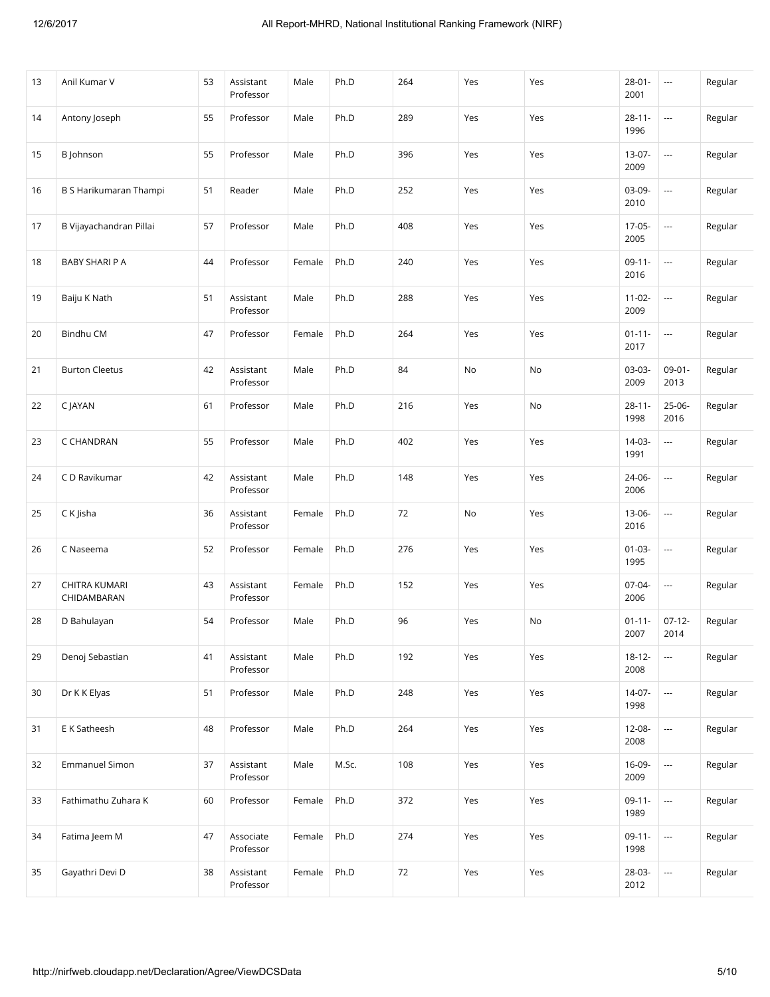| 13 | Anil Kumar V                 | 53 | Assistant<br>Professor | Male   | Ph.D  | 264 | Yes | Yes | $28 - 01 -$<br>2001 | $\ldots$                 | Regular |
|----|------------------------------|----|------------------------|--------|-------|-----|-----|-----|---------------------|--------------------------|---------|
| 14 | Antony Joseph                | 55 | Professor              | Male   | Ph.D  | 289 | Yes | Yes | $28 - 11 -$<br>1996 | $\ldots$                 | Regular |
| 15 | B Johnson                    | 55 | Professor              | Male   | Ph.D  | 396 | Yes | Yes | 13-07-<br>2009      | $\ldots$                 | Regular |
| 16 | B S Harikumaran Thampi       | 51 | Reader                 | Male   | Ph.D  | 252 | Yes | Yes | 03-09-<br>2010      | $\sim$                   | Regular |
| 17 | B Vijayachandran Pillai      | 57 | Professor              | Male   | Ph.D  | 408 | Yes | Yes | 17-05-<br>2005      | $\sim$                   | Regular |
| 18 | BABY SHARI P A               | 44 | Professor              | Female | Ph.D  | 240 | Yes | Yes | $09-11-$<br>2016    | $\ldots$                 | Regular |
| 19 | Baiju K Nath                 | 51 | Assistant<br>Professor | Male   | Ph.D  | 288 | Yes | Yes | $11 - 02 -$<br>2009 | $\overline{\phantom{a}}$ | Regular |
| 20 | <b>Bindhu CM</b>             | 47 | Professor              | Female | Ph.D  | 264 | Yes | Yes | $01 - 11 -$<br>2017 | $\ldots$                 | Regular |
| 21 | <b>Burton Cleetus</b>        | 42 | Assistant<br>Professor | Male   | Ph.D  | 84  | No  | No  | 03-03-<br>2009      | $09 - 01 -$<br>2013      | Regular |
| 22 | C JAYAN                      | 61 | Professor              | Male   | Ph.D  | 216 | Yes | No  | $28 - 11 -$<br>1998 | 25-06-<br>2016           | Regular |
| 23 | C CHANDRAN                   | 55 | Professor              | Male   | Ph.D  | 402 | Yes | Yes | 14-03-<br>1991      | $\overline{\phantom{a}}$ | Regular |
| 24 | C D Ravikumar                | 42 | Assistant<br>Professor | Male   | Ph.D  | 148 | Yes | Yes | 24-06-<br>2006      | $\scriptstyle\cdots$     | Regular |
| 25 | C K Jisha                    | 36 | Assistant<br>Professor | Female | Ph.D  | 72  | No  | Yes | 13-06-<br>2016      | $\ldots$                 | Regular |
| 26 | C Naseema                    | 52 | Professor              | Female | Ph.D  | 276 | Yes | Yes | $01-03-$<br>1995    | $\ldots$                 | Regular |
| 27 | CHITRA KUMARI<br>CHIDAMBARAN | 43 | Assistant<br>Professor | Female | Ph.D  | 152 | Yes | Yes | 07-04-<br>2006      | ---                      | Regular |
| 28 | D Bahulayan                  | 54 | Professor              | Male   | Ph.D  | 96  | Yes | No  | $01 - 11 -$<br>2007 | $07-12-$<br>2014         | Regular |
| 29 | Denoj Sebastian              | 41 | Assistant<br>Professor | Male   | Ph.D  | 192 | Yes | Yes | $18 - 12 -$<br>2008 | $\ldots$                 | Regular |
| 30 | Dr K K Elyas                 | 51 | Professor              | Male   | Ph.D  | 248 | Yes | Yes | $14-07-$<br>1998    | $\cdots$                 | Regular |
| 31 | E K Satheesh                 | 48 | Professor              | Male   | Ph.D  | 264 | Yes | Yes | 12-08-<br>2008      | ---                      | Regular |
| 32 | <b>Emmanuel Simon</b>        | 37 | Assistant<br>Professor | Male   | M.Sc. | 108 | Yes | Yes | 16-09-<br>2009      | $\ldots$                 | Regular |
| 33 | Fathimathu Zuhara K          | 60 | Professor              | Female | Ph.D  | 372 | Yes | Yes | $09-11-$<br>1989    | $\ldots$                 | Regular |
| 34 | Fatima Jeem M                | 47 | Associate<br>Professor | Female | Ph.D  | 274 | Yes | Yes | $09-11-$<br>1998    | $\ldots$                 | Regular |
| 35 | Gayathri Devi D              | 38 | Assistant<br>Professor | Female | Ph.D  | 72  | Yes | Yes | 28-03-<br>2012      | $\ldots$                 | Regular |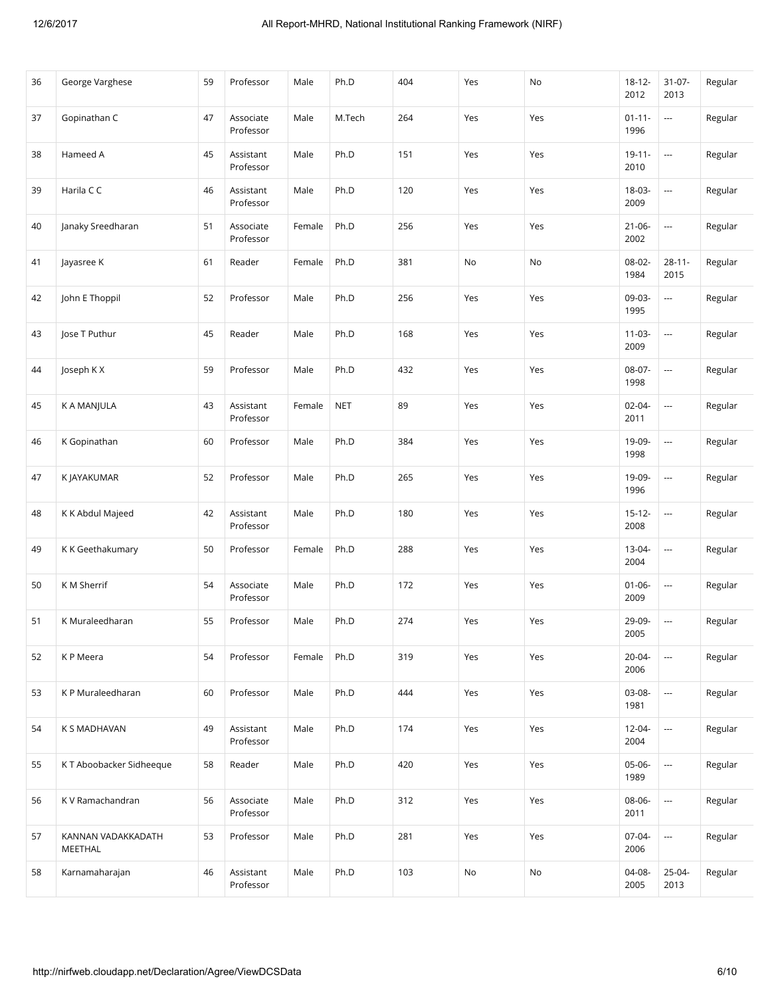| 36 | George Varghese               | 59 | Professor              | Male   | Ph.D       | 404 | Yes | No  | $18 - 12 -$<br>2012 | $31 - 07 -$<br>2013      | Regular |
|----|-------------------------------|----|------------------------|--------|------------|-----|-----|-----|---------------------|--------------------------|---------|
| 37 | Gopinathan C                  | 47 | Associate<br>Professor | Male   | M.Tech     | 264 | Yes | Yes | $01 - 11 -$<br>1996 | $\ldots$                 | Regular |
| 38 | Hameed A                      | 45 | Assistant<br>Professor | Male   | Ph.D       | 151 | Yes | Yes | $19-11-$<br>2010    | $\scriptstyle\cdots$     | Regular |
| 39 | Harila C C                    | 46 | Assistant<br>Professor | Male   | Ph.D       | 120 | Yes | Yes | 18-03-<br>2009      | $\scriptstyle\cdots$     | Regular |
| 40 | Janaky Sreedharan             | 51 | Associate<br>Professor | Female | Ph.D       | 256 | Yes | Yes | $21 - 06 -$<br>2002 | $\ldots$                 | Regular |
| 41 | Jayasree K                    | 61 | Reader                 | Female | Ph.D       | 381 | No  | No  | 08-02-<br>1984      | $28 - 11 -$<br>2015      | Regular |
| 42 | John E Thoppil                | 52 | Professor              | Male   | Ph.D       | 256 | Yes | Yes | 09-03-<br>1995      | $\overline{\phantom{a}}$ | Regular |
| 43 | lose T Puthur                 | 45 | Reader                 | Male   | Ph.D       | 168 | Yes | Yes | $11 - 03 -$<br>2009 | $\scriptstyle\cdots$     | Regular |
| 44 | Joseph KX                     | 59 | Professor              | Male   | Ph.D       | 432 | Yes | Yes | 08-07-<br>1998      | $\ldots$                 | Regular |
| 45 | K A MANJULA                   | 43 | Assistant<br>Professor | Female | <b>NET</b> | 89  | Yes | Yes | $02 - 04 -$<br>2011 | $\ldots$                 | Regular |
| 46 | K Gopinathan                  | 60 | Professor              | Male   | Ph.D       | 384 | Yes | Yes | 19-09-<br>1998      | $\scriptstyle\cdots$     | Regular |
| 47 | K JAYAKUMAR                   | 52 | Professor              | Male   | Ph.D       | 265 | Yes | Yes | 19-09-<br>1996      | $\scriptstyle\cdots$     | Regular |
| 48 | K K Abdul Majeed              | 42 | Assistant<br>Professor | Male   | Ph.D       | 180 | Yes | Yes | $15 - 12 -$<br>2008 | $\ldots$                 | Regular |
| 49 | K K Geethakumary              | 50 | Professor              | Female | Ph.D       | 288 | Yes | Yes | 13-04-<br>2004      | $\ldots$                 | Regular |
| 50 | K M Sherrif                   | 54 | Associate<br>Professor | Male   | Ph.D       | 172 | Yes | Yes | $01 - 06 -$<br>2009 | $\hspace{0.05cm} \cdots$ | Regular |
| 51 | K Muraleedharan               | 55 | Professor              | Male   | Ph.D       | 274 | Yes | Yes | 29-09-<br>2005      | $\ldots$                 | Regular |
| 52 | K P Meera                     | 54 | Professor              | Female | Ph.D       | 319 | Yes | Yes | $20 - 04 -$<br>2006 | $\sim$                   | Regular |
| 53 | K P Muraleedharan             | 60 | Professor              | Male   | Ph.D       | 444 | Yes | Yes | 03-08-<br>1981      | $\ldots$                 | Regular |
| 54 | K S MADHAVAN                  | 49 | Assistant<br>Professor | Male   | Ph.D       | 174 | Yes | Yes | 12-04-<br>2004      | $\sim$                   | Regular |
| 55 | KT Aboobacker Sidheeque       | 58 | Reader                 | Male   | Ph.D       | 420 | Yes | Yes | 05-06-<br>1989      | $\ldots$                 | Regular |
| 56 | K V Ramachandran              | 56 | Associate<br>Professor | Male   | Ph.D       | 312 | Yes | Yes | 08-06-<br>2011      | $\ldots$                 | Regular |
| 57 | KANNAN VADAKKADATH<br>MEETHAL | 53 | Professor              | Male   | Ph.D       | 281 | Yes | Yes | 07-04-<br>2006      | $\sim$                   | Regular |
| 58 | Karnamaharajan                | 46 | Assistant<br>Professor | Male   | Ph.D       | 103 | No  | No  | 04-08-<br>2005      | $25-04-$<br>2013         | Regular |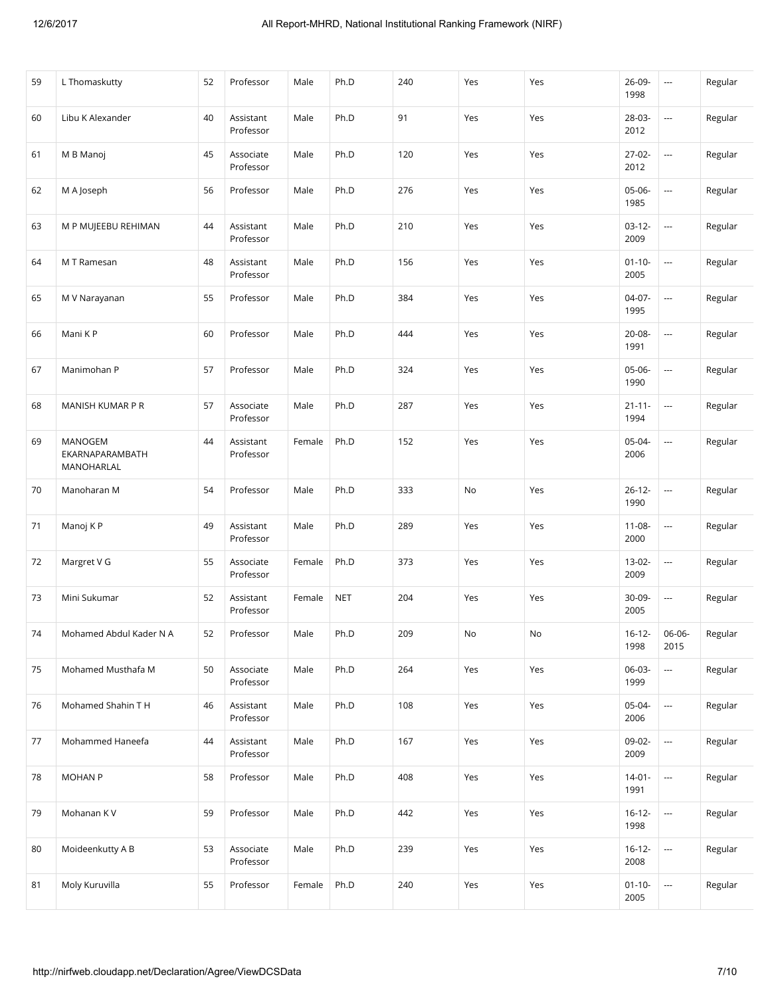| 59 | L Thomaskutty                            | 52 | Professor              | Male   | Ph.D       | 240 | Yes | Yes | 26-09-<br>1998      | $\scriptstyle\cdots$     | Regular |
|----|------------------------------------------|----|------------------------|--------|------------|-----|-----|-----|---------------------|--------------------------|---------|
| 60 | Libu K Alexander                         | 40 | Assistant<br>Professor | Male   | Ph.D       | 91  | Yes | Yes | 28-03-<br>2012      | ---                      | Regular |
| 61 | M B Manoj                                | 45 | Associate<br>Professor | Male   | Ph.D       | 120 | Yes | Yes | 27-02-<br>2012      | $\overline{\phantom{a}}$ | Regular |
| 62 | M A Joseph                               | 56 | Professor              | Male   | Ph.D       | 276 | Yes | Yes | 05-06-<br>1985      | $\overline{\phantom{a}}$ | Regular |
| 63 | M P MUJEEBU REHIMAN                      | 44 | Assistant<br>Professor | Male   | Ph.D       | 210 | Yes | Yes | $03-12-$<br>2009    | $\overline{\phantom{a}}$ | Regular |
| 64 | M T Ramesan                              | 48 | Assistant<br>Professor | Male   | Ph.D       | 156 | Yes | Yes | $01 - 10 -$<br>2005 | $\scriptstyle\cdots$     | Regular |
| 65 | M V Narayanan                            | 55 | Professor              | Male   | Ph.D       | 384 | Yes | Yes | 04-07-<br>1995      | $\cdots$                 | Regular |
| 66 | Mani K P                                 | 60 | Professor              | Male   | Ph.D       | 444 | Yes | Yes | 20-08-<br>1991      | $\cdots$                 | Regular |
| 67 | Manimohan P                              | 57 | Professor              | Male   | Ph.D       | 324 | Yes | Yes | 05-06-<br>1990      | $\scriptstyle\cdots$     | Regular |
| 68 | MANISH KUMAR P R                         | 57 | Associate<br>Professor | Male   | Ph.D       | 287 | Yes | Yes | $21 - 11 -$<br>1994 | $\scriptstyle\cdots$     | Regular |
| 69 | MANOGEM<br>EKARNAPARAMBATH<br>MANOHARLAL | 44 | Assistant<br>Professor | Female | Ph.D       | 152 | Yes | Yes | 05-04-<br>2006      | $\overline{\phantom{a}}$ | Regular |
| 70 | Manoharan M                              | 54 | Professor              | Male   | Ph.D       | 333 | No  | Yes | $26 - 12 -$<br>1990 | $\scriptstyle\cdots$     | Regular |
| 71 | Manoj K P                                | 49 | Assistant<br>Professor | Male   | Ph.D       | 289 | Yes | Yes | $11 - 08 -$<br>2000 | $\hspace{0.05cm} \ldots$ | Regular |
| 72 | Margret V G                              | 55 | Associate<br>Professor | Female | Ph.D       | 373 | Yes | Yes | 13-02-<br>2009      | $\scriptstyle\cdots$     | Regular |
| 73 | Mini Sukumar                             | 52 | Assistant<br>Professor | Female | <b>NET</b> | 204 | Yes | Yes | $30-09-$<br>2005    | $\overline{\phantom{a}}$ | Regular |
| 74 | Mohamed Abdul Kader N A                  | 52 | Professor              | Male   | Ph.D       | 209 | No  | No  | $16 - 12 -$<br>1998 | 06-06-<br>2015           | Regular |
| 75 | Mohamed Musthafa M                       | 50 | Associate<br>Professor | Male   | Ph.D       | 264 | Yes | Yes | 06-03-<br>1999      | $\scriptstyle\cdots$     | Regular |
| 76 | Mohamed Shahin T H                       | 46 | Assistant<br>Professor | Male   | Ph.D       | 108 | Yes | Yes | 05-04-<br>2006      | $\overline{\phantom{a}}$ | Regular |
| 77 | Mohammed Haneefa                         | 44 | Assistant<br>Professor | Male   | Ph.D       | 167 | Yes | Yes | 09-02-<br>2009      |                          | Regular |
| 78 | <b>MOHAN P</b>                           | 58 | Professor              | Male   | Ph.D       | 408 | Yes | Yes | $14 - 01 -$<br>1991 | ---                      | Regular |
| 79 | Mohanan KV                               | 59 | Professor              | Male   | Ph.D       | 442 | Yes | Yes | $16 - 12 -$<br>1998 | $\overline{\phantom{a}}$ | Regular |
| 80 | Moideenkutty A B                         | 53 | Associate<br>Professor | Male   | Ph.D       | 239 | Yes | Yes | $16 - 12 -$<br>2008 | $\scriptstyle\cdots$     | Regular |
| 81 | Moly Kuruvilla                           | 55 | Professor              | Female | Ph.D       | 240 | Yes | Yes | $01 - 10 -$<br>2005 | $\overline{\phantom{a}}$ | Regular |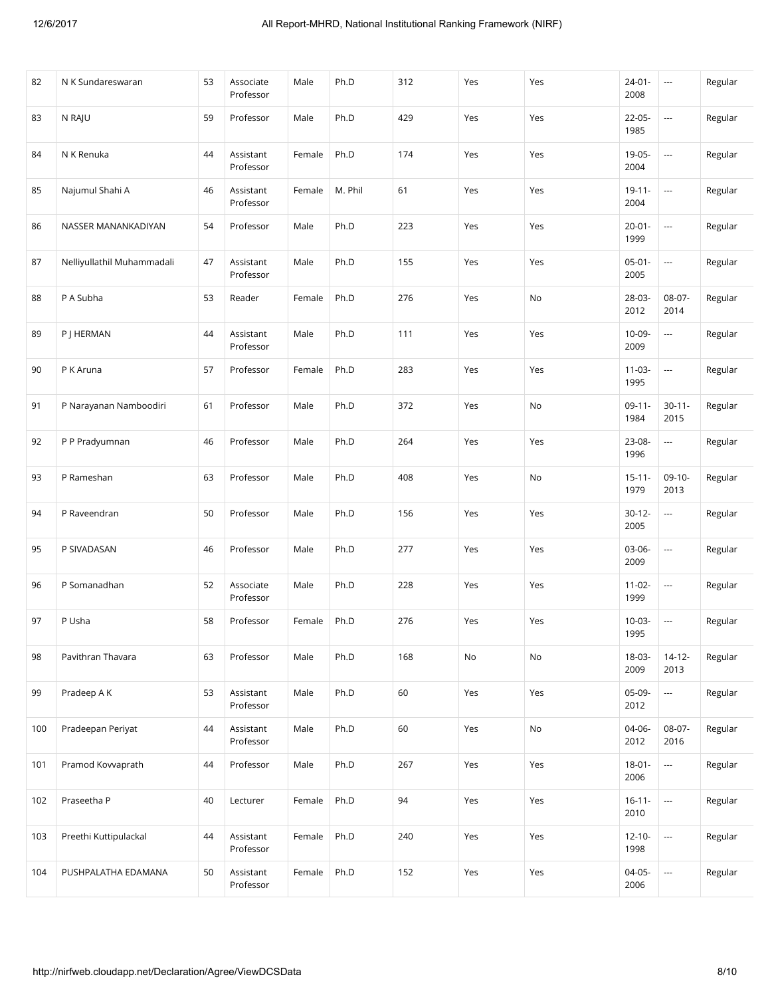| 82  | N K Sundareswaran          | 53 | Associate<br>Professor | Male   | Ph.D    | 312 | Yes | Yes | $24 - 01 -$<br>2008 | $\overline{\phantom{a}}$ | Regular |
|-----|----------------------------|----|------------------------|--------|---------|-----|-----|-----|---------------------|--------------------------|---------|
| 83  | N RAJU                     | 59 | Professor              | Male   | Ph.D    | 429 | Yes | Yes | $22 - 05 -$<br>1985 | ---                      | Regular |
| 84  | N K Renuka                 | 44 | Assistant<br>Professor | Female | Ph.D    | 174 | Yes | Yes | 19-05-<br>2004      | $\overline{\phantom{a}}$ | Regular |
| 85  | Najumul Shahi A            | 46 | Assistant<br>Professor | Female | M. Phil | 61  | Yes | Yes | $19 - 11 -$<br>2004 | ---                      | Regular |
| 86  | NASSER MANANKADIYAN        | 54 | Professor              | Male   | Ph.D    | 223 | Yes | Yes | $20 - 01 -$<br>1999 | ---                      | Regular |
| 87  | Nelliyullathil Muhammadali | 47 | Assistant<br>Professor | Male   | Ph.D    | 155 | Yes | Yes | $05-01-$<br>2005    | $\overline{\phantom{a}}$ | Regular |
| 88  | P A Subha                  | 53 | Reader                 | Female | Ph.D    | 276 | Yes | No  | 28-03-<br>2012      | 08-07-<br>2014           | Regular |
| 89  | P J HERMAN                 | 44 | Assistant<br>Professor | Male   | Ph.D    | 111 | Yes | Yes | 10-09-<br>2009      | $\overline{\phantom{a}}$ | Regular |
| 90  | P K Aruna                  | 57 | Professor              | Female | Ph.D    | 283 | Yes | Yes | $11-03-$<br>1995    | $\overline{\phantom{a}}$ | Regular |
| 91  | P Narayanan Namboodiri     | 61 | Professor              | Male   | Ph.D    | 372 | Yes | No  | $09-11-$<br>1984    | $30 - 11 -$<br>2015      | Regular |
| 92  | P P Pradyumnan             | 46 | Professor              | Male   | Ph.D    | 264 | Yes | Yes | 23-08-<br>1996      | $\overline{\phantom{a}}$ | Regular |
| 93  | P Rameshan                 | 63 | Professor              | Male   | Ph.D    | 408 | Yes | No  | $15 - 11 -$<br>1979 | $09-10-$<br>2013         | Regular |
| 94  | P Raveendran               | 50 | Professor              | Male   | Ph.D    | 156 | Yes | Yes | $30 - 12 -$<br>2005 | $\overline{\phantom{a}}$ | Regular |
| 95  | P SIVADASAN                | 46 | Professor              | Male   | Ph.D    | 277 | Yes | Yes | 03-06-<br>2009      | $\scriptstyle\cdots$     | Regular |
| 96  | P Somanadhan               | 52 | Associate<br>Professor | Male   | Ph.D    | 228 | Yes | Yes | $11 - 02 -$<br>1999 | $\overline{\phantom{a}}$ | Regular |
| 97  | P Usha                     | 58 | Professor              | Female | Ph.D    | 276 | Yes | Yes | $10-03-$<br>1995    | $\overline{\phantom{a}}$ | Regular |
| 98  | Pavithran Thavara          | 63 | Professor              | Male   | Ph.D    | 168 | No  | No  | 18-03-<br>2009      | $14 - 12 -$<br>2013      | Regular |
| 99  | Pradeep A K                | 53 | Assistant<br>Professor | Male   | Ph.D    | 60  | Yes | Yes | 05-09-<br>2012      | $\cdots$                 | Regular |
| 100 | Pradeepan Periyat          | 44 | Assistant<br>Professor | Male   | Ph.D    | 60  | Yes | No  | 04-06-<br>2012      | 08-07-<br>2016           | Regular |
| 101 | Pramod Kovvaprath          | 44 | Professor              | Male   | Ph.D    | 267 | Yes | Yes | $18 - 01 -$<br>2006 | $\overline{\phantom{a}}$ | Regular |
| 102 | Praseetha P                | 40 | Lecturer               | Female | Ph.D    | 94  | Yes | Yes | $16 - 11 -$<br>2010 |                          | Regular |
| 103 | Preethi Kuttipulackal      | 44 | Assistant<br>Professor | Female | Ph.D    | 240 | Yes | Yes | $12 - 10 -$<br>1998 | $\scriptstyle\cdots$     | Regular |
| 104 | PUSHPALATHA EDAMANA        | 50 | Assistant<br>Professor | Female | Ph.D    | 152 | Yes | Yes | $04-05-$<br>2006    | $\scriptstyle\cdots$     | Regular |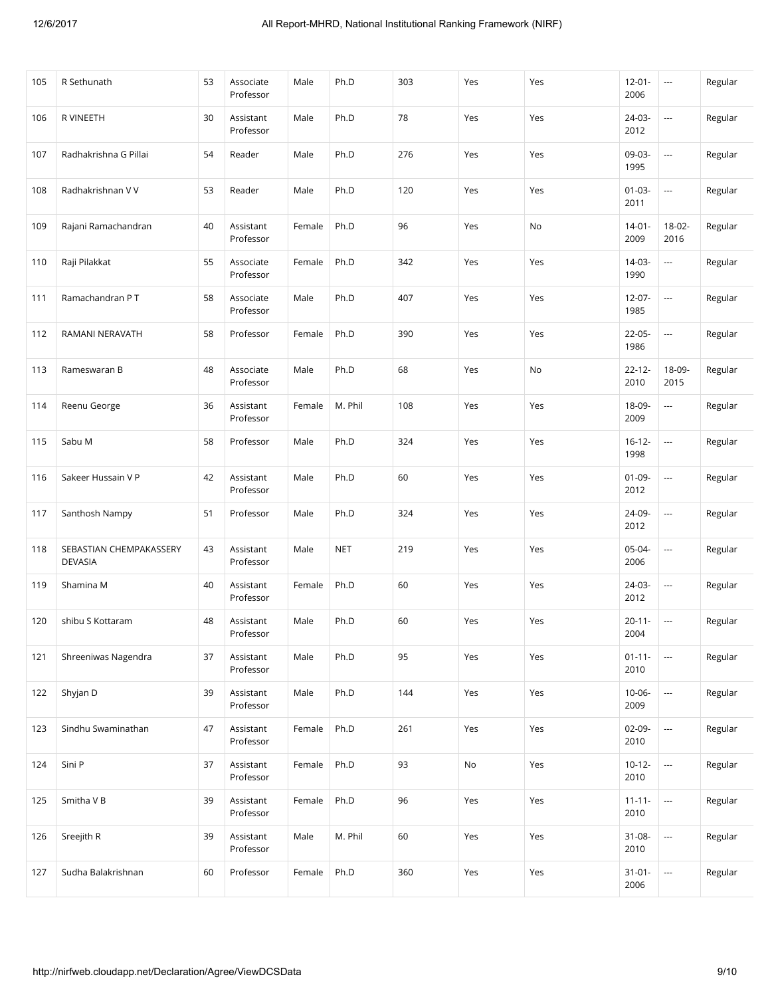| 105 | R Sethunath                               | 53 | Associate<br>Professor | Male   | Ph.D       | 303 | Yes | Yes | $12 - 01 -$<br>2006 | $\cdots$                 | Regular |
|-----|-------------------------------------------|----|------------------------|--------|------------|-----|-----|-----|---------------------|--------------------------|---------|
| 106 | R VINEETH                                 | 30 | Assistant<br>Professor | Male   | Ph.D       | 78  | Yes | Yes | 24-03-<br>2012      | $\scriptstyle\cdots$     | Regular |
| 107 | Radhakrishna G Pillai                     | 54 | Reader                 | Male   | Ph.D       | 276 | Yes | Yes | 09-03-<br>1995      | $\overline{\phantom{a}}$ | Regular |
| 108 | Radhakrishnan V V                         | 53 | Reader                 | Male   | Ph.D       | 120 | Yes | Yes | $01-03-$<br>2011    | $\cdots$                 | Regular |
| 109 | Rajani Ramachandran                       | 40 | Assistant<br>Professor | Female | Ph.D       | 96  | Yes | No  | $14 - 01 -$<br>2009 | 18-02-<br>2016           | Regular |
| 110 | Raji Pilakkat                             | 55 | Associate<br>Professor | Female | Ph.D       | 342 | Yes | Yes | 14-03-<br>1990      | ---                      | Regular |
| 111 | Ramachandran PT                           | 58 | Associate<br>Professor | Male   | Ph.D       | 407 | Yes | Yes | $12 - 07 -$<br>1985 | $\cdots$                 | Regular |
| 112 | RAMANI NERAVATH                           | 58 | Professor              | Female | Ph.D       | 390 | Yes | Yes | 22-05-<br>1986      | $\cdots$                 | Regular |
| 113 | Rameswaran B                              | 48 | Associate<br>Professor | Male   | Ph.D       | 68  | Yes | No  | $22 - 12 -$<br>2010 | 18-09-<br>2015           | Regular |
| 114 | Reenu George                              | 36 | Assistant<br>Professor | Female | M. Phil    | 108 | Yes | Yes | 18-09-<br>2009      | ---                      | Regular |
| 115 | Sabu M                                    | 58 | Professor              | Male   | Ph.D       | 324 | Yes | Yes | $16 - 12 -$<br>1998 | $\scriptstyle\cdots$     | Regular |
| 116 | Sakeer Hussain V P                        | 42 | Assistant<br>Professor | Male   | Ph.D       | 60  | Yes | Yes | $01 - 09 -$<br>2012 | $\scriptstyle\cdots$     | Regular |
| 117 | Santhosh Nampy                            | 51 | Professor              | Male   | Ph.D       | 324 | Yes | Yes | 24-09-<br>2012      | $\overline{\phantom{a}}$ | Regular |
| 118 | SEBASTIAN CHEMPAKASSERY<br><b>DEVASIA</b> | 43 | Assistant<br>Professor | Male   | <b>NET</b> | 219 | Yes | Yes | 05-04-<br>2006      | $\overline{\phantom{a}}$ | Regular |
| 119 | Shamina M                                 | 40 | Assistant<br>Professor | Female | Ph.D       | 60  | Yes | Yes | 24-03-<br>2012      | $\scriptstyle\cdots$     | Regular |
| 120 | shibu S Kottaram                          | 48 | Assistant<br>Professor | Male   | Ph.D       | 60  | Yes | Yes | $20 - 11 -$<br>2004 | ---                      | Regular |
| 121 | Shreeniwas Nagendra                       | 37 | Assistant<br>Professor | Male   | Ph.D       | 95  | Yes | Yes | $01 - 11 -$<br>2010 | $\overline{\phantom{a}}$ | Regular |
| 122 | Shyjan D                                  | 39 | Assistant<br>Professor | Male   | Ph.D       | 144 | Yes | Yes | $10-06-$<br>2009    |                          | Regular |
| 123 | Sindhu Swaminathan                        | 47 | Assistant<br>Professor | Female | Ph.D       | 261 | Yes | Yes | $02-09-$<br>2010    | $\scriptstyle\cdots$     | Regular |
| 124 | Sini P                                    | 37 | Assistant<br>Professor | Female | Ph.D       | 93  | No  | Yes | $10 - 12 -$<br>2010 | $\hspace{0.05cm} \ldots$ | Regular |
| 125 | Smitha V B                                | 39 | Assistant<br>Professor | Female | Ph.D       | 96  | Yes | Yes | $11 - 11 -$<br>2010 | $\overline{\phantom{a}}$ | Regular |
| 126 | Sreejith R                                | 39 | Assistant<br>Professor | Male   | M. Phil    | 60  | Yes | Yes | $31 - 08 -$<br>2010 | $\scriptstyle\cdots$     | Regular |
| 127 | Sudha Balakrishnan                        | 60 | Professor              | Female | Ph.D       | 360 | Yes | Yes | $31 - 01 -$<br>2006 | ---                      | Regular |